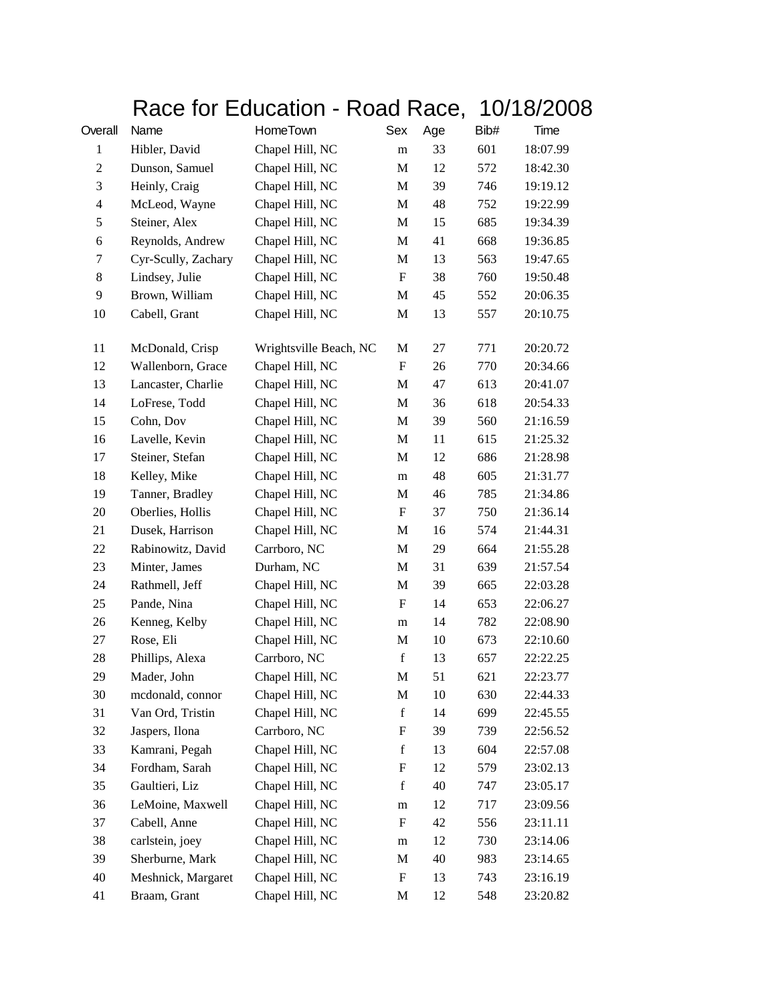## Race for Education - Road Race, 10/18/2008

| Overall                 | Name                | HomeTown               | Sex                       | Age | Bib# | Time     |
|-------------------------|---------------------|------------------------|---------------------------|-----|------|----------|
| $\mathbf{1}$            | Hibler, David       | Chapel Hill, NC        | m                         | 33  | 601  | 18:07.99 |
| $\overline{c}$          | Dunson, Samuel      | Chapel Hill, NC        | M                         | 12  | 572  | 18:42.30 |
| 3                       | Heinly, Craig       | Chapel Hill, NC        | $\mathbf M$               | 39  | 746  | 19:19.12 |
| $\overline{\mathbf{4}}$ | McLeod, Wayne       | Chapel Hill, NC        | M                         | 48  | 752  | 19:22.99 |
| 5                       | Steiner, Alex       | Chapel Hill, NC        | M                         | 15  | 685  | 19:34.39 |
| 6                       | Reynolds, Andrew    | Chapel Hill, NC        | M                         | 41  | 668  | 19:36.85 |
| 7                       | Cyr-Scully, Zachary | Chapel Hill, NC        | M                         | 13  | 563  | 19:47.65 |
| $8\,$                   | Lindsey, Julie      | Chapel Hill, NC        | $\boldsymbol{\mathrm{F}}$ | 38  | 760  | 19:50.48 |
| 9                       | Brown, William      | Chapel Hill, NC        | M                         | 45  | 552  | 20:06.35 |
| 10                      | Cabell, Grant       | Chapel Hill, NC        | M                         | 13  | 557  | 20:10.75 |
| 11                      | McDonald, Crisp     | Wrightsville Beach, NC | M                         | 27  | 771  | 20:20.72 |
| 12                      | Wallenborn, Grace   | Chapel Hill, NC        | $\boldsymbol{\mathrm{F}}$ | 26  | 770  | 20:34.66 |
| 13                      | Lancaster, Charlie  | Chapel Hill, NC        | $\mathbf M$               | 47  | 613  | 20:41.07 |
| 14                      | LoFrese, Todd       | Chapel Hill, NC        | M                         | 36  | 618  | 20:54.33 |
| 15                      | Cohn, Dov           | Chapel Hill, NC        | $\mathbf M$               | 39  | 560  | 21:16.59 |
| 16                      | Lavelle, Kevin      | Chapel Hill, NC        | M                         | 11  | 615  | 21:25.32 |
| 17                      | Steiner, Stefan     | Chapel Hill, NC        | M                         | 12  | 686  | 21:28.98 |
| 18                      | Kelley, Mike        | Chapel Hill, NC        | ${\bf m}$                 | 48  | 605  | 21:31.77 |
| 19                      | Tanner, Bradley     | Chapel Hill, NC        | M                         | 46  | 785  | 21:34.86 |
| 20                      | Oberlies, Hollis    | Chapel Hill, NC        | $\boldsymbol{\mathrm{F}}$ | 37  | 750  | 21:36.14 |
| 21                      | Dusek, Harrison     | Chapel Hill, NC        | M                         | 16  | 574  | 21:44.31 |
| 22                      | Rabinowitz, David   | Carrboro, NC           | M                         | 29  | 664  | 21:55.28 |
| 23                      | Minter, James       | Durham, NC             | $\mathbf M$               | 31  | 639  | 21:57.54 |
| 24                      | Rathmell, Jeff      | Chapel Hill, NC        | M                         | 39  | 665  | 22:03.28 |
| 25                      | Pande, Nina         | Chapel Hill, NC        | F                         | 14  | 653  | 22:06.27 |
| 26                      | Kenneg, Kelby       | Chapel Hill, NC        | ${\bf m}$                 | 14  | 782  | 22:08.90 |
| 27                      | Rose, Eli           | Chapel Hill, NC        | M                         | 10  | 673  | 22:10.60 |
| 28                      | Phillips, Alexa     | Carrboro, NC           | $\mathbf f$               | 13  | 657  | 22:22.25 |
| 29                      | Mader, John         | Chapel Hill, NC        | M                         | 51  | 621  | 22:23.77 |
| 30                      | mcdonald, connor    | Chapel Hill, NC        | M                         | 10  | 630  | 22:44.33 |
| 31                      | Van Ord, Tristin    | Chapel Hill, NC        | $\mathbf f$               | 14  | 699  | 22:45.55 |
| 32                      | Jaspers, Ilona      | Carrboro, NC           | F                         | 39  | 739  | 22:56.52 |
| 33                      | Kamrani, Pegah      | Chapel Hill, NC        | $\mathbf f$               | 13  | 604  | 22:57.08 |
| 34                      | Fordham, Sarah      | Chapel Hill, NC        | F                         | 12  | 579  | 23:02.13 |
| 35                      | Gaultieri, Liz      | Chapel Hill, NC        | $\mathbf f$               | 40  | 747  | 23:05.17 |
| 36                      | LeMoine, Maxwell    | Chapel Hill, NC        | ${\rm m}$                 | 12  | 717  | 23:09.56 |
| 37                      | Cabell, Anne        | Chapel Hill, NC        | F                         | 42  | 556  | 23:11.11 |
| 38                      | carlstein, joey     | Chapel Hill, NC        | m                         | 12  | 730  | 23:14.06 |
| 39                      | Sherburne, Mark     | Chapel Hill, NC        | M                         | 40  | 983  | 23:14.65 |
| 40                      | Meshnick, Margaret  | Chapel Hill, NC        | F                         | 13  | 743  | 23:16.19 |
| 41                      | Braam, Grant        | Chapel Hill, NC        | M                         | 12  | 548  | 23:20.82 |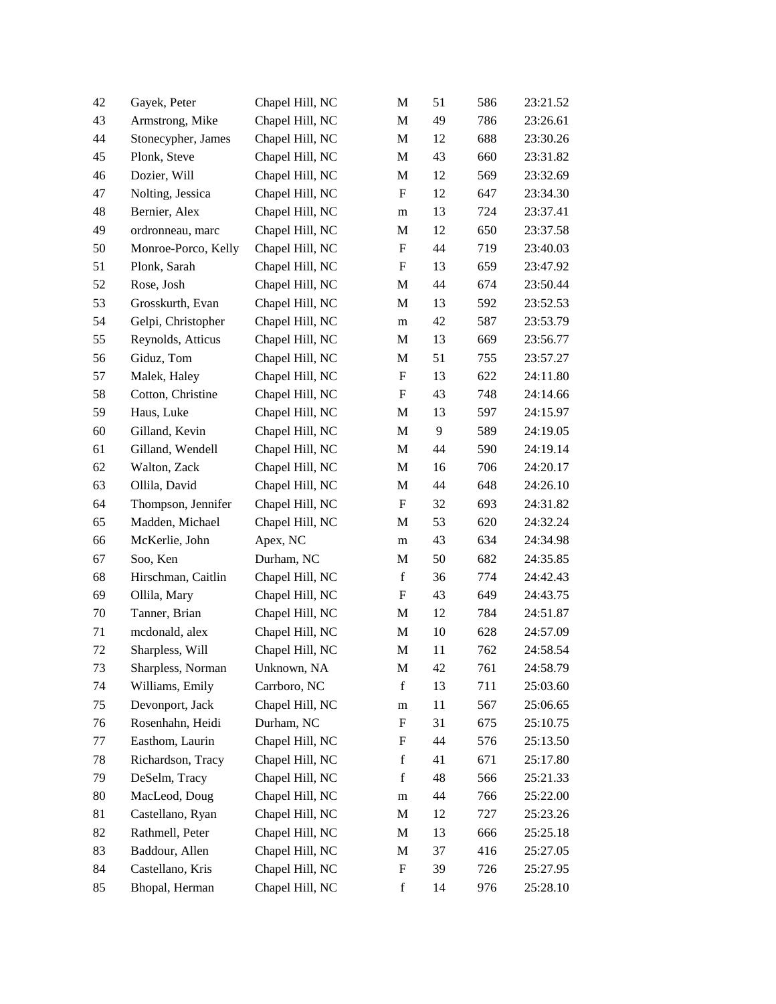| 42 | Gayek, Peter        | Chapel Hill, NC | M                         | 51 | 586 | 23:21.52 |
|----|---------------------|-----------------|---------------------------|----|-----|----------|
| 43 | Armstrong, Mike     | Chapel Hill, NC | M                         | 49 | 786 | 23:26.61 |
| 44 | Stonecypher, James  | Chapel Hill, NC | M                         | 12 | 688 | 23:30.26 |
| 45 | Plonk, Steve        | Chapel Hill, NC | M                         | 43 | 660 | 23:31.82 |
| 46 | Dozier, Will        | Chapel Hill, NC | M                         | 12 | 569 | 23:32.69 |
| 47 | Nolting, Jessica    | Chapel Hill, NC | F                         | 12 | 647 | 23:34.30 |
| 48 | Bernier, Alex       | Chapel Hill, NC | m                         | 13 | 724 | 23:37.41 |
| 49 | ordronneau, marc    | Chapel Hill, NC | M                         | 12 | 650 | 23:37.58 |
| 50 | Monroe-Porco, Kelly | Chapel Hill, NC | F                         | 44 | 719 | 23:40.03 |
| 51 | Plonk, Sarah        | Chapel Hill, NC | F                         | 13 | 659 | 23:47.92 |
| 52 | Rose, Josh          | Chapel Hill, NC | M                         | 44 | 674 | 23:50.44 |
| 53 | Grosskurth, Evan    | Chapel Hill, NC | M                         | 13 | 592 | 23:52.53 |
| 54 | Gelpi, Christopher  | Chapel Hill, NC | m                         | 42 | 587 | 23:53.79 |
| 55 | Reynolds, Atticus   | Chapel Hill, NC | M                         | 13 | 669 | 23:56.77 |
| 56 | Giduz, Tom          | Chapel Hill, NC | M                         | 51 | 755 | 23:57.27 |
| 57 | Malek, Haley        | Chapel Hill, NC | F                         | 13 | 622 | 24:11.80 |
| 58 | Cotton, Christine   | Chapel Hill, NC | F                         | 43 | 748 | 24:14.66 |
| 59 | Haus, Luke          | Chapel Hill, NC | M                         | 13 | 597 | 24:15.97 |
| 60 | Gilland, Kevin      | Chapel Hill, NC | M                         | 9  | 589 | 24:19.05 |
| 61 | Gilland, Wendell    | Chapel Hill, NC | M                         | 44 | 590 | 24:19.14 |
| 62 | Walton, Zack        | Chapel Hill, NC | M                         | 16 | 706 | 24:20.17 |
| 63 | Ollila, David       | Chapel Hill, NC | M                         | 44 | 648 | 24:26.10 |
| 64 | Thompson, Jennifer  | Chapel Hill, NC | $\boldsymbol{\mathrm{F}}$ | 32 | 693 | 24:31.82 |
| 65 | Madden, Michael     | Chapel Hill, NC | M                         | 53 | 620 | 24:32.24 |
| 66 | McKerlie, John      | Apex, NC        | m                         | 43 | 634 | 24:34.98 |
| 67 | Soo, Ken            | Durham, NC      | M                         | 50 | 682 | 24:35.85 |
| 68 | Hirschman, Caitlin  | Chapel Hill, NC | $\mathbf f$               | 36 | 774 | 24:42.43 |
| 69 | Ollila, Mary        | Chapel Hill, NC | $\boldsymbol{\mathrm{F}}$ | 43 | 649 | 24:43.75 |
| 70 | Tanner, Brian       | Chapel Hill, NC | M                         | 12 | 784 | 24:51.87 |
| 71 | mcdonald, alex      | Chapel Hill, NC | M                         | 10 | 628 | 24:57.09 |
| 72 | Sharpless, Will     | Chapel Hill, NC | M                         | 11 | 762 | 24:58.54 |
| 73 | Sharpless, Norman   | Unknown, NA     | M                         | 42 | 761 | 24:58.79 |
| 74 | Williams, Emily     | Carrboro, NC    | $\mathbf f$               | 13 | 711 | 25:03.60 |
| 75 | Devonport, Jack     | Chapel Hill, NC | ${\rm m}$                 | 11 | 567 | 25:06.65 |
| 76 | Rosenhahn, Heidi    | Durham, NC      | $\boldsymbol{\mathrm{F}}$ | 31 | 675 | 25:10.75 |
| 77 | Easthom, Laurin     | Chapel Hill, NC | F                         | 44 | 576 | 25:13.50 |
| 78 | Richardson, Tracy   | Chapel Hill, NC | $\mathbf f$               | 41 | 671 | 25:17.80 |
| 79 | DeSelm, Tracy       | Chapel Hill, NC | $\mathbf f$               | 48 | 566 | 25:21.33 |
| 80 | MacLeod, Doug       | Chapel Hill, NC | ${\rm m}$                 | 44 | 766 | 25:22.00 |
| 81 | Castellano, Ryan    | Chapel Hill, NC | M                         | 12 | 727 | 25:23.26 |
| 82 | Rathmell, Peter     | Chapel Hill, NC | M                         | 13 | 666 | 25:25.18 |
| 83 | Baddour, Allen      | Chapel Hill, NC | M                         | 37 | 416 | 25:27.05 |
| 84 | Castellano, Kris    | Chapel Hill, NC | F                         | 39 | 726 | 25:27.95 |
| 85 | Bhopal, Herman      | Chapel Hill, NC | $\mathbf f$               | 14 | 976 | 25:28.10 |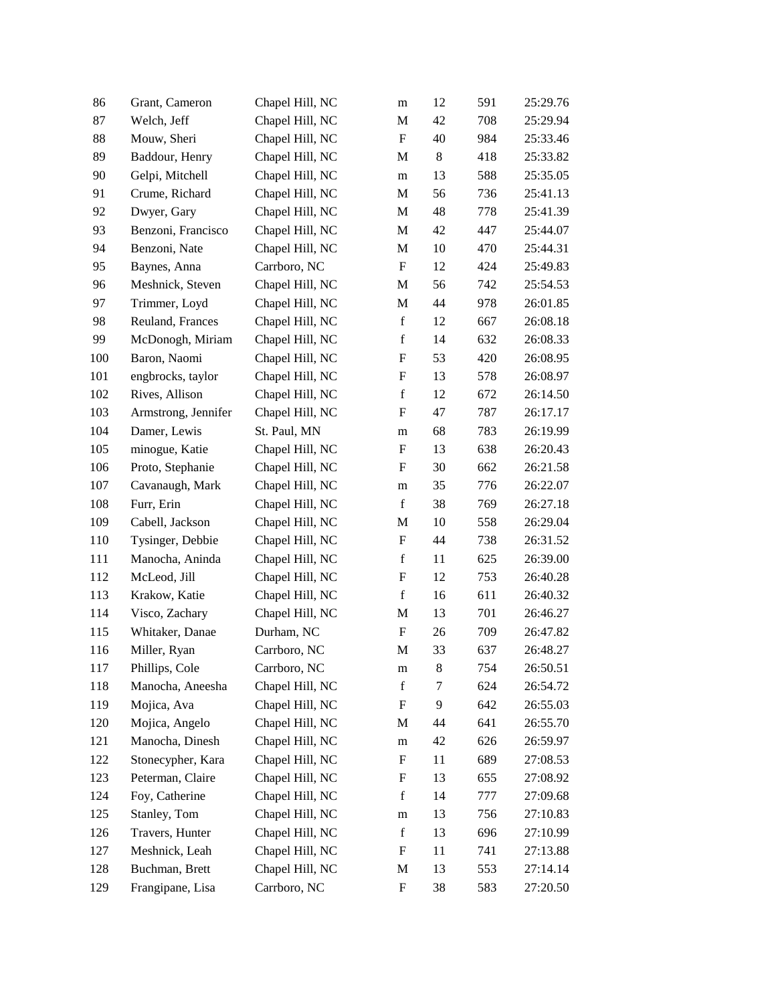| 86  | Grant, Cameron      | Chapel Hill, NC | m           | 12     | 591 | 25:29.76 |
|-----|---------------------|-----------------|-------------|--------|-----|----------|
| 87  | Welch, Jeff         | Chapel Hill, NC | M           | 42     | 708 | 25:29.94 |
| 88  | Mouw, Sheri         | Chapel Hill, NC | F           | 40     | 984 | 25:33.46 |
| 89  | Baddour, Henry      | Chapel Hill, NC | M           | $8\,$  | 418 | 25:33.82 |
| 90  | Gelpi, Mitchell     | Chapel Hill, NC | m           | 13     | 588 | 25:35.05 |
| 91  | Crume, Richard      | Chapel Hill, NC | M           | 56     | 736 | 25:41.13 |
| 92  | Dwyer, Gary         | Chapel Hill, NC | M           | 48     | 778 | 25:41.39 |
| 93  | Benzoni, Francisco  | Chapel Hill, NC | M           | 42     | 447 | 25:44.07 |
| 94  | Benzoni, Nate       | Chapel Hill, NC | M           | 10     | 470 | 25:44.31 |
| 95  | Baynes, Anna        | Carrboro, NC    | F           | 12     | 424 | 25:49.83 |
| 96  | Meshnick, Steven    | Chapel Hill, NC | M           | 56     | 742 | 25:54.53 |
| 97  | Trimmer, Loyd       | Chapel Hill, NC | M           | 44     | 978 | 26:01.85 |
| 98  | Reuland, Frances    | Chapel Hill, NC | $\mathbf f$ | 12     | 667 | 26:08.18 |
| 99  | McDonogh, Miriam    | Chapel Hill, NC | $\mathbf f$ | 14     | 632 | 26:08.33 |
| 100 | Baron, Naomi        | Chapel Hill, NC | F           | 53     | 420 | 26:08.95 |
| 101 | engbrocks, taylor   | Chapel Hill, NC | F           | 13     | 578 | 26:08.97 |
| 102 | Rives, Allison      | Chapel Hill, NC | $\mathbf f$ | 12     | 672 | 26:14.50 |
| 103 | Armstrong, Jennifer | Chapel Hill, NC | F           | 47     | 787 | 26:17.17 |
| 104 | Damer, Lewis        | St. Paul, MN    | m           | 68     | 783 | 26:19.99 |
| 105 | minogue, Katie      | Chapel Hill, NC | F           | 13     | 638 | 26:20.43 |
| 106 | Proto, Stephanie    | Chapel Hill, NC | F           | 30     | 662 | 26:21.58 |
| 107 | Cavanaugh, Mark     | Chapel Hill, NC | m           | 35     | 776 | 26:22.07 |
| 108 | Furr, Erin          | Chapel Hill, NC | $\mathbf f$ | 38     | 769 | 26:27.18 |
| 109 | Cabell, Jackson     | Chapel Hill, NC | M           | 10     | 558 | 26:29.04 |
| 110 | Tysinger, Debbie    | Chapel Hill, NC | F           | 44     | 738 | 26:31.52 |
| 111 | Manocha, Aninda     | Chapel Hill, NC | $\mathbf f$ | 11     | 625 | 26:39.00 |
| 112 | McLeod, Jill        | Chapel Hill, NC | F           | 12     | 753 | 26:40.28 |
| 113 | Krakow, Katie       | Chapel Hill, NC | $\mathbf f$ | 16     | 611 | 26:40.32 |
| 114 | Visco, Zachary      | Chapel Hill, NC | M           | 13     | 701 | 26:46.27 |
| 115 | Whitaker, Danae     | Durham, NC      | F           | 26     | 709 | 26:47.82 |
| 116 | Miller, Ryan        | Carrboro, NC    | M           | 33     | 637 | 26:48.27 |
| 117 | Phillips, Cole      | Carrboro, NC    | ${\rm m}$   | 8      | 754 | 26:50.51 |
| 118 | Manocha, Aneesha    | Chapel Hill, NC | $\mathbf f$ | $\tau$ | 624 | 26:54.72 |
| 119 | Mojica, Ava         | Chapel Hill, NC | F           | 9      | 642 | 26:55.03 |
| 120 | Mojica, Angelo      | Chapel Hill, NC | M           | 44     | 641 | 26:55.70 |
| 121 | Manocha, Dinesh     | Chapel Hill, NC | m           | 42     | 626 | 26:59.97 |
| 122 | Stonecypher, Kara   | Chapel Hill, NC | F           | 11     | 689 | 27:08.53 |
| 123 | Peterman, Claire    | Chapel Hill, NC | F           | 13     | 655 | 27:08.92 |
| 124 | Foy, Catherine      | Chapel Hill, NC | $\mathbf f$ | 14     | 777 | 27:09.68 |
| 125 | Stanley, Tom        | Chapel Hill, NC | m           | 13     | 756 | 27:10.83 |
| 126 | Travers, Hunter     | Chapel Hill, NC | $\mathbf f$ | 13     | 696 | 27:10.99 |
| 127 | Meshnick, Leah      | Chapel Hill, NC | F           | 11     | 741 | 27:13.88 |
| 128 | Buchman, Brett      | Chapel Hill, NC | M           | 13     | 553 | 27:14.14 |
| 129 | Frangipane, Lisa    | Carrboro, NC    | F           | 38     | 583 | 27:20.50 |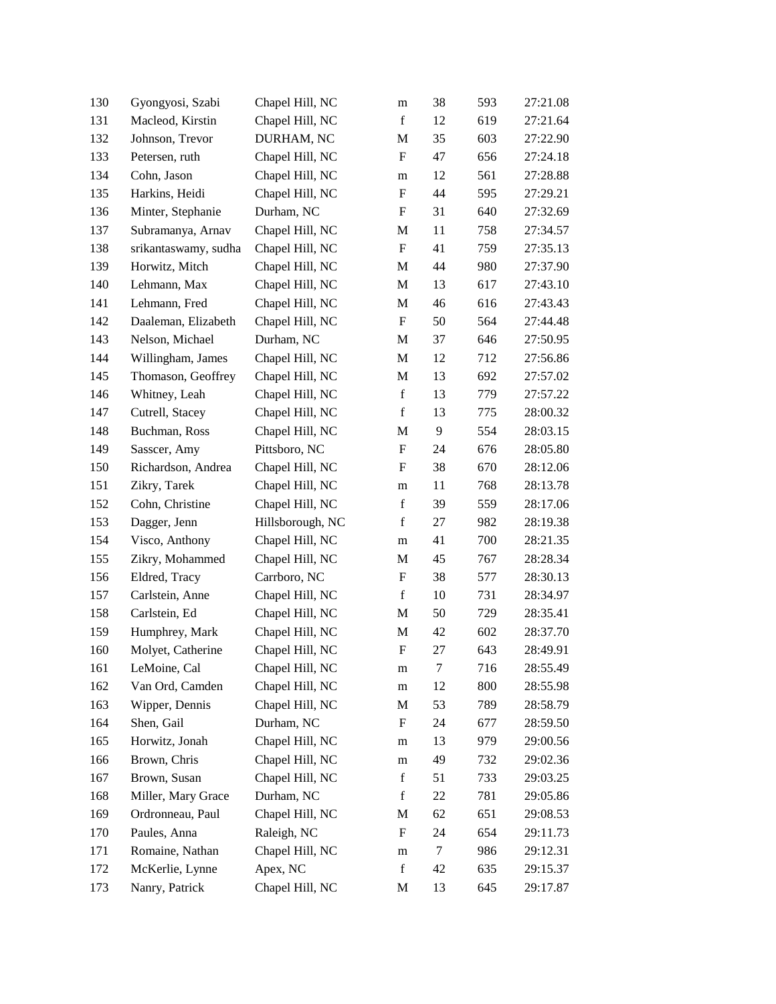| 130 | Gyongyosi, Szabi     | Chapel Hill, NC  | m                         | 38 | 593 | 27:21.08 |
|-----|----------------------|------------------|---------------------------|----|-----|----------|
| 131 | Macleod, Kirstin     | Chapel Hill, NC  | $\mathbf f$               | 12 | 619 | 27:21.64 |
| 132 | Johnson, Trevor      | DURHAM, NC       | M                         | 35 | 603 | 27:22.90 |
| 133 | Petersen, ruth       | Chapel Hill, NC  | F                         | 47 | 656 | 27:24.18 |
| 134 | Cohn, Jason          | Chapel Hill, NC  | m                         | 12 | 561 | 27:28.88 |
| 135 | Harkins, Heidi       | Chapel Hill, NC  | $\mathbf F$               | 44 | 595 | 27:29.21 |
| 136 | Minter, Stephanie    | Durham, NC       | F                         | 31 | 640 | 27:32.69 |
| 137 | Subramanya, Arnav    | Chapel Hill, NC  | M                         | 11 | 758 | 27:34.57 |
| 138 | srikantaswamy, sudha | Chapel Hill, NC  | $\boldsymbol{\mathrm{F}}$ | 41 | 759 | 27:35.13 |
| 139 | Horwitz, Mitch       | Chapel Hill, NC  | M                         | 44 | 980 | 27:37.90 |
| 140 | Lehmann, Max         | Chapel Hill, NC  | M                         | 13 | 617 | 27:43.10 |
| 141 | Lehmann, Fred        | Chapel Hill, NC  | M                         | 46 | 616 | 27:43.43 |
| 142 | Daaleman, Elizabeth  | Chapel Hill, NC  | F                         | 50 | 564 | 27:44.48 |
| 143 | Nelson, Michael      | Durham, NC       | M                         | 37 | 646 | 27:50.95 |
| 144 | Willingham, James    | Chapel Hill, NC  | M                         | 12 | 712 | 27:56.86 |
| 145 | Thomason, Geoffrey   | Chapel Hill, NC  | M                         | 13 | 692 | 27:57.02 |
| 146 | Whitney, Leah        | Chapel Hill, NC  | $\mathbf f$               | 13 | 779 | 27:57.22 |
| 147 | Cutrell, Stacey      | Chapel Hill, NC  | $\mathbf f$               | 13 | 775 | 28:00.32 |
| 148 | Buchman, Ross        | Chapel Hill, NC  | M                         | 9  | 554 | 28:03.15 |
| 149 | Sasscer, Amy         | Pittsboro, NC    | F                         | 24 | 676 | 28:05.80 |
| 150 | Richardson, Andrea   | Chapel Hill, NC  | F                         | 38 | 670 | 28:12.06 |
| 151 | Zikry, Tarek         | Chapel Hill, NC  | m                         | 11 | 768 | 28:13.78 |
| 152 | Cohn, Christine      | Chapel Hill, NC  | $\mathbf f$               | 39 | 559 | 28:17.06 |
| 153 | Dagger, Jenn         | Hillsborough, NC | $\mathbf f$               | 27 | 982 | 28:19.38 |
| 154 | Visco, Anthony       | Chapel Hill, NC  | m                         | 41 | 700 | 28:21.35 |
| 155 | Zikry, Mohammed      | Chapel Hill, NC  | M                         | 45 | 767 | 28:28.34 |
| 156 | Eldred, Tracy        | Carrboro, NC     | F                         | 38 | 577 | 28:30.13 |
| 157 | Carlstein, Anne      | Chapel Hill, NC  | $\mathbf f$               | 10 | 731 | 28:34.97 |
| 158 | Carlstein, Ed        | Chapel Hill, NC  | M                         | 50 | 729 | 28:35.41 |
| 159 | Humphrey, Mark       | Chapel Hill, NC  | M                         | 42 | 602 | 28:37.70 |
| 160 | Molyet, Catherine    | Chapel Hill, NC  | F                         | 27 | 643 | 28:49.91 |
| 161 | LeMoine, Cal         | Chapel Hill, NC  | m                         | 7  | 716 | 28:55.49 |
| 162 | Van Ord, Camden      | Chapel Hill, NC  | m                         | 12 | 800 | 28:55.98 |
| 163 | Wipper, Dennis       | Chapel Hill, NC  | M                         | 53 | 789 | 28:58.79 |
| 164 | Shen, Gail           | Durham, NC       | F                         | 24 | 677 | 28:59.50 |
| 165 | Horwitz, Jonah       | Chapel Hill, NC  | m                         | 13 | 979 | 29:00.56 |
| 166 | Brown, Chris         | Chapel Hill, NC  | m                         | 49 | 732 | 29:02.36 |
| 167 | Brown, Susan         | Chapel Hill, NC  | $\mathbf f$               | 51 | 733 | 29:03.25 |
| 168 | Miller, Mary Grace   | Durham, NC       | $\mathbf f$               | 22 | 781 | 29:05.86 |
| 169 | Ordronneau, Paul     | Chapel Hill, NC  | M                         | 62 | 651 | 29:08.53 |
| 170 | Paules, Anna         | Raleigh, NC      | F                         | 24 | 654 | 29:11.73 |
| 171 | Romaine, Nathan      | Chapel Hill, NC  | m                         | 7  | 986 | 29:12.31 |
| 172 | McKerlie, Lynne      | Apex, NC         | $\mathbf f$               | 42 | 635 | 29:15.37 |
| 173 | Nanry, Patrick       | Chapel Hill, NC  | M                         | 13 | 645 | 29:17.87 |
|     |                      |                  |                           |    |     |          |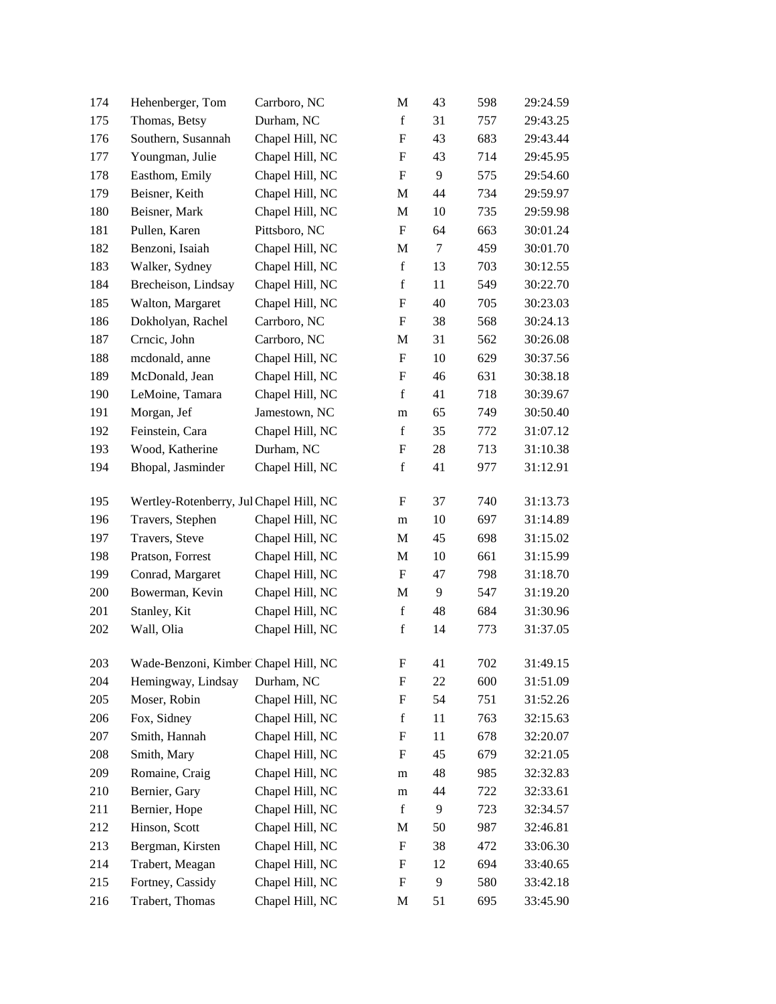| 174 | Hehenberger, Tom                        | Carrboro, NC    | M                         | 43     | 598 | 29:24.59 |
|-----|-----------------------------------------|-----------------|---------------------------|--------|-----|----------|
| 175 | Thomas, Betsy                           | Durham, NC      | $\mathbf f$               | 31     | 757 | 29:43.25 |
| 176 | Southern, Susannah                      | Chapel Hill, NC | $\boldsymbol{\mathrm{F}}$ | 43     | 683 | 29:43.44 |
| 177 | Youngman, Julie                         | Chapel Hill, NC | F                         | 43     | 714 | 29:45.95 |
| 178 | Easthom, Emily                          | Chapel Hill, NC | F                         | 9      | 575 | 29:54.60 |
| 179 | Beisner, Keith                          | Chapel Hill, NC | M                         | 44     | 734 | 29:59.97 |
| 180 | Beisner, Mark                           | Chapel Hill, NC | M                         | 10     | 735 | 29:59.98 |
| 181 | Pullen, Karen                           | Pittsboro, NC   | $\boldsymbol{\mathrm{F}}$ | 64     | 663 | 30:01.24 |
| 182 | Benzoni, Isaiah                         | Chapel Hill, NC | M                         | $\tau$ | 459 | 30:01.70 |
| 183 | Walker, Sydney                          | Chapel Hill, NC | $\mathbf f$               | 13     | 703 | 30:12.55 |
| 184 | Brecheison, Lindsay                     | Chapel Hill, NC | $\mathbf f$               | 11     | 549 | 30:22.70 |
| 185 | Walton, Margaret                        | Chapel Hill, NC | F                         | 40     | 705 | 30:23.03 |
| 186 | Dokholyan, Rachel                       | Carrboro, NC    | F                         | 38     | 568 | 30:24.13 |
| 187 | Crncic, John                            | Carrboro, NC    | M                         | 31     | 562 | 30:26.08 |
| 188 | mcdonald, anne                          | Chapel Hill, NC | F                         | 10     | 629 | 30:37.56 |
| 189 | McDonald, Jean                          | Chapel Hill, NC | F                         | 46     | 631 | 30:38.18 |
| 190 | LeMoine, Tamara                         | Chapel Hill, NC | $\mathbf f$               | 41     | 718 | 30:39.67 |
| 191 | Morgan, Jef                             | Jamestown, NC   | m                         | 65     | 749 | 30:50.40 |
| 192 | Feinstein, Cara                         | Chapel Hill, NC | $\mathbf f$               | 35     | 772 | 31:07.12 |
| 193 | Wood, Katherine                         | Durham, NC      | F                         | 28     | 713 | 31:10.38 |
| 194 | Bhopal, Jasminder                       | Chapel Hill, NC | $\mathbf f$               | 41     | 977 | 31:12.91 |
| 195 | Wertley-Rotenberry, Jul Chapel Hill, NC |                 | F                         | 37     | 740 | 31:13.73 |
| 196 | Travers, Stephen                        | Chapel Hill, NC | m                         | 10     | 697 | 31:14.89 |
| 197 | Travers, Steve                          | Chapel Hill, NC | M                         | 45     | 698 | 31:15.02 |
| 198 | Pratson, Forrest                        | Chapel Hill, NC | M                         | 10     | 661 | 31:15.99 |
| 199 | Conrad, Margaret                        | Chapel Hill, NC | F                         | 47     | 798 | 31:18.70 |
| 200 | Bowerman, Kevin                         | Chapel Hill, NC | M                         | 9      | 547 | 31:19.20 |
| 201 | Stanley, Kit                            | Chapel Hill, NC | $\mathbf f$               | 48     | 684 | 31:30.96 |
| 202 | Wall, Olia                              | Chapel Hill, NC | $\mathbf f$               | 14     | 773 | 31:37.05 |
| 203 | Wade-Benzoni, Kimber Chapel Hill, NC    |                 | F                         | 41     | 702 | 31:49.15 |
| 204 | Hemingway, Lindsay                      | Durham, NC      | F                         | 22     | 600 | 31:51.09 |
| 205 | Moser, Robin                            | Chapel Hill, NC | F                         | 54     | 751 | 31:52.26 |
| 206 | Fox, Sidney                             | Chapel Hill, NC | $\mathbf f$               | 11     | 763 | 32:15.63 |
| 207 | Smith, Hannah                           | Chapel Hill, NC | F                         | 11     | 678 | 32:20.07 |
| 208 | Smith, Mary                             | Chapel Hill, NC | F                         | 45     | 679 | 32:21.05 |
| 209 | Romaine, Craig                          | Chapel Hill, NC | m                         | 48     | 985 | 32:32.83 |
| 210 | Bernier, Gary                           | Chapel Hill, NC | m                         | 44     | 722 | 32:33.61 |
| 211 | Bernier, Hope                           | Chapel Hill, NC | $\mathbf f$               | 9      | 723 | 32:34.57 |
| 212 | Hinson, Scott                           | Chapel Hill, NC | M                         | 50     | 987 | 32:46.81 |
| 213 | Bergman, Kirsten                        | Chapel Hill, NC | F                         | 38     | 472 | 33:06.30 |
| 214 | Trabert, Meagan                         | Chapel Hill, NC | F                         | 12     | 694 | 33:40.65 |
| 215 | Fortney, Cassidy                        | Chapel Hill, NC | F                         | 9      | 580 | 33:42.18 |
| 216 | Trabert, Thomas                         | Chapel Hill, NC | M                         | 51     | 695 | 33:45.90 |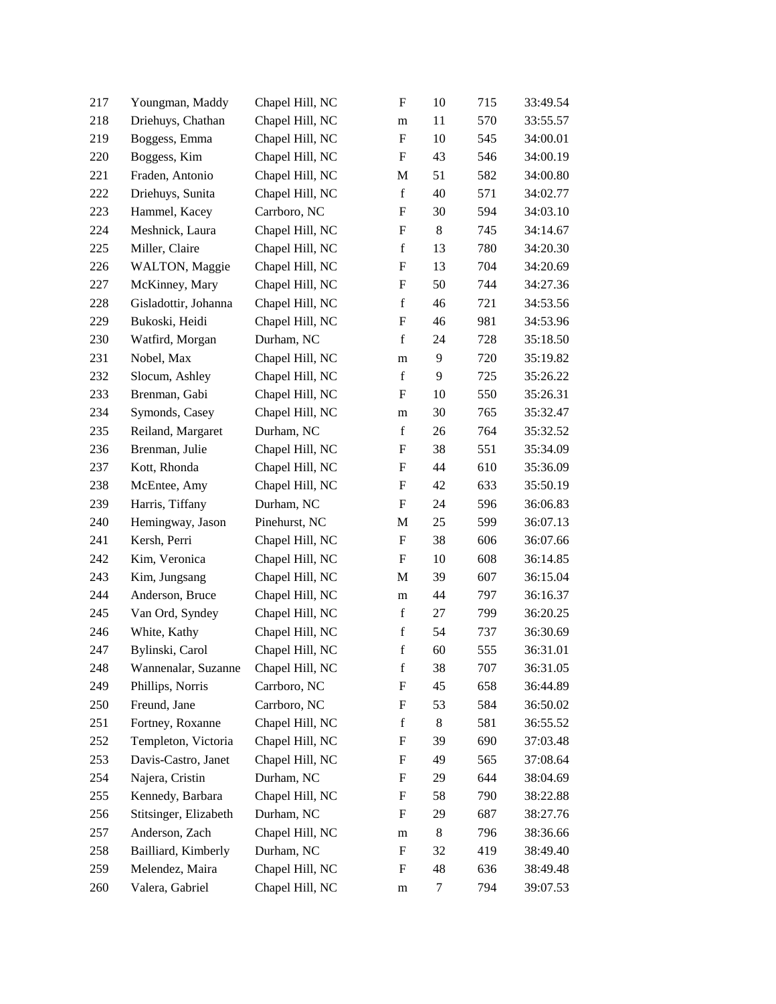| 217 | Youngman, Maddy       | Chapel Hill, NC | F                         | 10     | 715 | 33:49.54 |
|-----|-----------------------|-----------------|---------------------------|--------|-----|----------|
| 218 | Driehuys, Chathan     | Chapel Hill, NC | m                         | 11     | 570 | 33:55.57 |
| 219 | Boggess, Emma         | Chapel Hill, NC | $\boldsymbol{\mathrm{F}}$ | 10     | 545 | 34:00.01 |
| 220 | Boggess, Kim          | Chapel Hill, NC | F                         | 43     | 546 | 34:00.19 |
| 221 | Fraden, Antonio       | Chapel Hill, NC | M                         | 51     | 582 | 34:00.80 |
| 222 | Driehuys, Sunita      | Chapel Hill, NC | $\mathbf f$               | 40     | 571 | 34:02.77 |
| 223 | Hammel, Kacey         | Carrboro, NC    | F                         | 30     | 594 | 34:03.10 |
| 224 | Meshnick, Laura       | Chapel Hill, NC | $\boldsymbol{\mathrm{F}}$ | 8      | 745 | 34:14.67 |
| 225 | Miller, Claire        | Chapel Hill, NC | $\mathbf f$               | 13     | 780 | 34:20.30 |
| 226 | WALTON, Maggie        | Chapel Hill, NC | F                         | 13     | 704 | 34:20.69 |
| 227 | McKinney, Mary        | Chapel Hill, NC | F                         | 50     | 744 | 34:27.36 |
| 228 | Gisladottir, Johanna  | Chapel Hill, NC | $\mathbf f$               | 46     | 721 | 34:53.56 |
| 229 | Bukoski, Heidi        | Chapel Hill, NC | $\boldsymbol{\mathrm{F}}$ | 46     | 981 | 34:53.96 |
| 230 | Watfird, Morgan       | Durham, NC      | $\mathbf f$               | 24     | 728 | 35:18.50 |
| 231 | Nobel, Max            | Chapel Hill, NC | m                         | 9      | 720 | 35:19.82 |
| 232 | Slocum, Ashley        | Chapel Hill, NC | $\mathbf f$               | 9      | 725 | 35:26.22 |
| 233 | Brenman, Gabi         | Chapel Hill, NC | F                         | 10     | 550 | 35:26.31 |
| 234 | Symonds, Casey        | Chapel Hill, NC | m                         | 30     | 765 | 35:32.47 |
| 235 | Reiland, Margaret     | Durham, NC      | $\mathbf f$               | 26     | 764 | 35:32.52 |
| 236 | Brenman, Julie        | Chapel Hill, NC | F                         | 38     | 551 | 35:34.09 |
| 237 | Kott, Rhonda          | Chapel Hill, NC | F                         | 44     | 610 | 35:36.09 |
| 238 | McEntee, Amy          | Chapel Hill, NC | F                         | 42     | 633 | 35:50.19 |
| 239 | Harris, Tiffany       | Durham, NC      | $\boldsymbol{\mathrm{F}}$ | 24     | 596 | 36:06.83 |
| 240 | Hemingway, Jason      | Pinehurst, NC   | М                         | 25     | 599 | 36:07.13 |
| 241 | Kersh, Perri          | Chapel Hill, NC | F                         | 38     | 606 | 36:07.66 |
| 242 | Kim, Veronica         | Chapel Hill, NC | F                         | 10     | 608 | 36:14.85 |
| 243 | Kim, Jungsang         | Chapel Hill, NC | M                         | 39     | 607 | 36:15.04 |
| 244 | Anderson, Bruce       | Chapel Hill, NC | m                         | 44     | 797 | 36:16.37 |
| 245 | Van Ord, Syndey       | Chapel Hill, NC | $\mathbf f$               | 27     | 799 | 36:20.25 |
| 246 | White, Kathy          | Chapel Hill, NC | $\mathbf f$               | 54     | 737 | 36:30.69 |
| 247 | Bylinski, Carol       | Chapel Hill, NC | $\mathbf f$               | 60     | 555 | 36:31.01 |
| 248 | Wannenalar, Suzanne   | Chapel Hill, NC | f                         | 38     | 707 | 36:31.05 |
| 249 | Phillips, Norris      | Carrboro, NC    | F                         | 45     | 658 | 36:44.89 |
| 250 | Freund, Jane          | Carrboro, NC    | F                         | 53     | 584 | 36:50.02 |
| 251 | Fortney, Roxanne      | Chapel Hill, NC | $\mathbf f$               | 8      | 581 | 36:55.52 |
| 252 | Templeton, Victoria   | Chapel Hill, NC | F                         | 39     | 690 | 37:03.48 |
| 253 | Davis-Castro, Janet   | Chapel Hill, NC | F                         | 49     | 565 | 37:08.64 |
| 254 | Najera, Cristin       | Durham, NC      | F                         | 29     | 644 | 38:04.69 |
| 255 | Kennedy, Barbara      | Chapel Hill, NC | F                         | 58     | 790 | 38:22.88 |
| 256 | Stitsinger, Elizabeth | Durham, NC      | F                         | 29     | 687 | 38:27.76 |
| 257 | Anderson, Zach        | Chapel Hill, NC | m                         | 8      | 796 | 38:36.66 |
| 258 | Bailliard, Kimberly   | Durham, NC      | F                         | 32     | 419 | 38:49.40 |
| 259 | Melendez, Maira       | Chapel Hill, NC | F                         | 48     | 636 | 38:49.48 |
| 260 | Valera, Gabriel       | Chapel Hill, NC | m                         | $\tau$ | 794 | 39:07.53 |